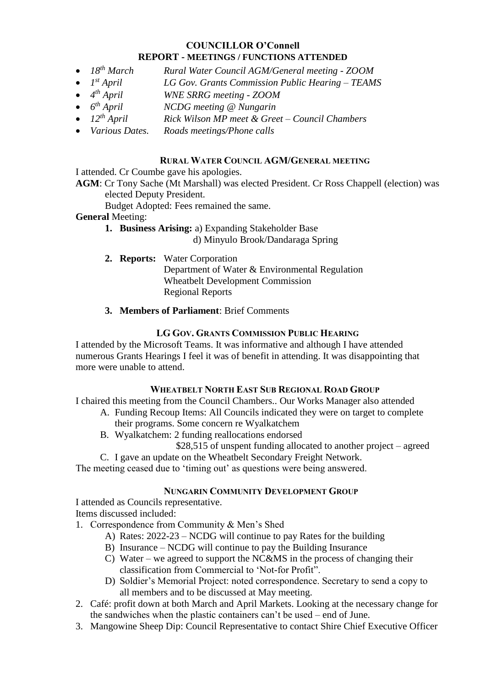## **COUNCILLOR O'Connell REPORT - MEETINGS / FUNCTIONS ATTENDED**

- $\bullet$  *18<sup>th</sup> March th March Rural Water Council AGM/General meeting - ZOOM*
- 1<sup>st</sup> April *st April LG Gov. Grants Commission Public Hearing – TEAMS*
- 4<sup>th</sup> April *th April WNE SRRG meeting - ZOOM*
- $\bullet$  *6<sup>th</sup> April th April NCDG meeting @ Nungarin*
- *12th April Rick Wilson MP meet & Greet – Council Chambers*
- *Various Dates. Roads meetings/Phone calls*

#### **RURAL WATER COUNCIL AGM/GENERAL MEETING**

I attended. Cr Coumbe gave his apologies.

**AGM**: Cr Tony Sache (Mt Marshall) was elected President. Cr Ross Chappell (election) was elected Deputy President.

Budget Adopted: Fees remained the same.

## **General** Meeting:

**1. Business Arising:** a) Expanding Stakeholder Base

d) Minyulo Brook/Dandaraga Spring

- **2. Reports:** Water Corporation Department of Water & Environmental Regulation Wheatbelt Development Commission Regional Reports
- **3. Members of Parliament**: Brief Comments

#### **LG GOV. GRANTS COMMISSION PUBLIC HEARING**

I attended by the Microsoft Teams. It was informative and although I have attended numerous Grants Hearings I feel it was of benefit in attending. It was disappointing that more were unable to attend.

#### **WHEATBELT NORTH EAST SUB REGIONAL ROAD GROUP**

I chaired this meeting from the Council Chambers.. Our Works Manager also attended

- A. Funding Recoup Items: All Councils indicated they were on target to complete their programs. Some concern re Wyalkatchem
	- B. Wyalkatchem: 2 funding reallocations endorsed

\$28,515 of unspent funding allocated to another project – agreed

C. I gave an update on the Wheatbelt Secondary Freight Network.

The meeting ceased due to 'timing out' as questions were being answered.

## **NUNGARIN COMMUNITY DEVELOPMENT GROUP**

I attended as Councils representative.

Items discussed included:

- 1. Correspondence from Community & Men's Shed
	- A) Rates: 2022-23 NCDG will continue to pay Rates for the building
	- B) Insurance NCDG will continue to pay the Building Insurance
	- C) Water we agreed to support the NC&MS in the process of changing their classification from Commercial to 'Not-for Profit".
	- D) Soldier's Memorial Project: noted correspondence. Secretary to send a copy to all members and to be discussed at May meeting.
- 2. Café: profit down at both March and April Markets. Looking at the necessary change for the sandwiches when the plastic containers can't be used – end of June.
- 3. Mangowine Sheep Dip: Council Representative to contact Shire Chief Executive Officer